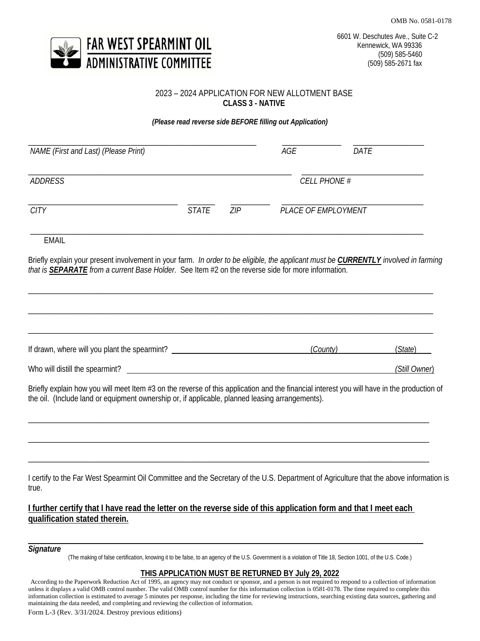OMB No. 0581-0178



# 2023 – 2024 APPLICATION FOR NEW ALLOTMENT BASE **CLASS 3 - NATIVE**

*(Please read reverse side BEFORE filling out Application)*

| NAME (First and Last) (Please Print) |       |     | AGE                        | DATE |  |
|--------------------------------------|-------|-----|----------------------------|------|--|
| <b>ADDRESS</b>                       |       |     | <b>CELL PHONE #</b>        |      |  |
| <b>CITY</b>                          | STATE | ZIP | <b>PLACE OF EMPLOYMENT</b> |      |  |

EMAIL

Briefly explain your present involvement in your farm. *In order to be eligible, the applicant must be CURRENTLY involved in farming that is SEPARATE from a current Base Holder.* See Item #2 on the reverse side for more information.

\_\_\_\_\_\_\_\_\_\_\_\_\_\_\_\_\_\_\_\_\_\_\_\_\_\_\_\_\_\_\_\_\_\_\_\_\_\_\_\_\_\_\_\_\_\_\_\_\_\_\_\_\_\_\_\_\_\_\_\_\_\_\_\_\_\_\_\_\_\_\_\_\_\_\_\_\_\_\_\_\_\_\_\_\_\_\_\_\_\_\_\_\_\_\_\_\_\_\_\_\_\_\_

| If drawn, where will you plant the spearmint? | (County) | (State)       |
|-----------------------------------------------|----------|---------------|
| Who will distill the spearmint?               |          | (Still Owner) |

Briefly explain how you will meet Item #3 on the reverse of this application and the financial interest you will have in the production of the oil. (Include land or equipment ownership or, if applicable, planned leasing arrangements).

\_\_\_\_\_\_\_\_\_\_\_\_\_\_\_\_\_\_\_\_\_\_\_\_\_\_\_\_\_\_\_\_\_\_\_\_\_\_\_\_\_\_\_\_\_\_\_\_\_\_\_\_\_\_\_\_\_\_\_\_\_\_\_\_\_\_\_\_\_\_\_\_\_\_\_\_\_\_\_\_\_\_\_\_\_\_\_\_\_\_\_\_\_\_\_\_\_\_\_\_\_\_

\_\_\_\_\_\_\_\_\_\_\_\_\_\_\_\_\_\_\_\_\_\_\_\_\_\_\_\_\_\_\_\_\_\_\_\_\_\_\_\_\_\_\_\_\_\_\_\_\_\_\_\_\_\_\_\_\_\_\_\_\_\_\_\_\_\_\_\_\_\_\_\_\_\_\_\_\_\_\_\_\_\_\_\_\_\_\_\_\_\_\_\_\_\_\_\_\_\_\_\_\_\_

\_\_\_\_\_\_\_\_\_\_\_\_\_\_\_\_\_\_\_\_\_\_\_\_\_\_\_\_\_\_\_\_\_\_\_\_\_\_\_\_\_\_\_\_\_\_\_\_\_\_\_\_\_\_\_\_\_\_\_\_\_\_\_\_\_\_\_\_\_\_\_\_\_\_\_\_\_\_\_\_\_\_\_\_\_\_\_\_\_\_\_\_\_\_\_\_\_\_\_\_\_\_

I certify to the Far West Spearmint Oil Committee and the Secretary of the U.S. Department of Agriculture that the above information is true.

# **I further certify that I have read the letter on the reverse side of this application form and that I meet each qualification stated therein.**

# *Signature*

(The making of false certification, knowing it to be false, to an agency of the U.S. Government is a violation of Title 18, Section 1001, of the U.S. Code.)

## **THIS APPLICATION MUST BE RETURNED BY July 29, 2022**

According to the Paperwork Reduction Act of 1995, an agency may not conduct or sponsor, and a person is not required to respond to a collection of information unless it displays a valid OMB control number. The valid OMB control number for this information collection is 0581-0178. The time required to complete this information collection is estimated to average 5 minutes per response, including the time for reviewing instructions, searching existing data sources, gathering and maintaining the data needed, and completing and reviewing the collection of information.

Form L-3 (Rev. 3/31/2024. Destroy previous editions)